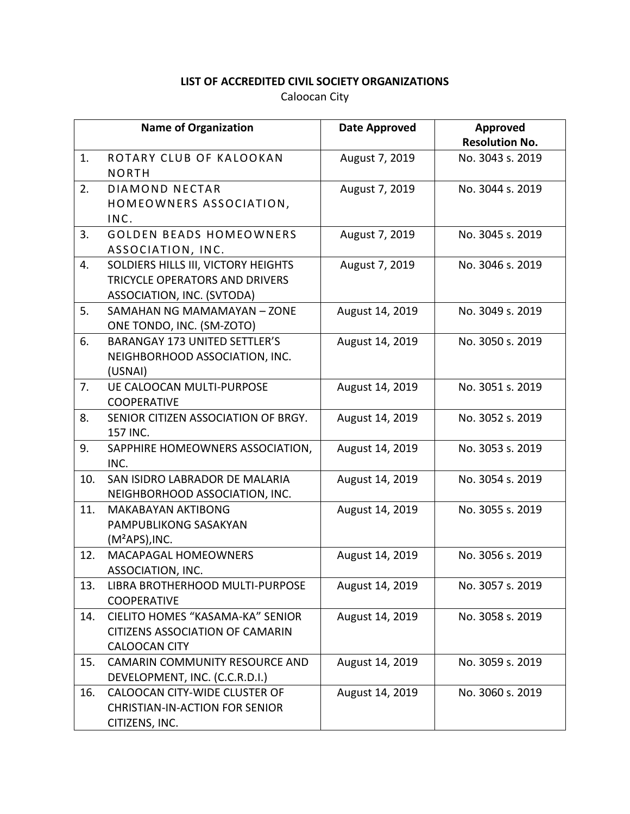|     | <b>Name of Organization</b>                                                                         | <b>Date Approved</b> | Approved<br><b>Resolution No.</b> |
|-----|-----------------------------------------------------------------------------------------------------|----------------------|-----------------------------------|
| 1.  | ROTARY CLUB OF KALOOKAN<br><b>NORTH</b>                                                             | August 7, 2019       | No. 3043 s. 2019                  |
| 2.  | <b>DIAMOND NECTAR</b><br>HOMEOWNERS ASSOCIATION,<br>INC.                                            | August 7, 2019       | No. 3044 s. 2019                  |
| 3.  | <b>GOLDEN BEADS HOMEOWNERS</b><br>ASSOCIATION, INC.                                                 | August 7, 2019       | No. 3045 s. 2019                  |
| 4.  | SOLDIERS HILLS III, VICTORY HEIGHTS<br>TRICYCLE OPERATORS AND DRIVERS<br>ASSOCIATION, INC. (SVTODA) | August 7, 2019       | No. 3046 s. 2019                  |
| 5.  | SAMAHAN NG MAMAMAYAN - ZONE<br>ONE TONDO, INC. (SM-ZOTO)                                            | August 14, 2019      | No. 3049 s. 2019                  |
| 6.  | <b>BARANGAY 173 UNITED SETTLER'S</b><br>NEIGHBORHOOD ASSOCIATION, INC.<br>(USNAI)                   | August 14, 2019      | No. 3050 s. 2019                  |
| 7.  | <b>UE CALOOCAN MULTI-PURPOSE</b><br><b>COOPERATIVE</b>                                              | August 14, 2019      | No. 3051 s. 2019                  |
| 8.  | SENIOR CITIZEN ASSOCIATION OF BRGY.<br>157 INC.                                                     | August 14, 2019      | No. 3052 s. 2019                  |
| 9.  | SAPPHIRE HOMEOWNERS ASSOCIATION,<br>INC.                                                            | August 14, 2019      | No. 3053 s. 2019                  |
| 10. | SAN ISIDRO LABRADOR DE MALARIA<br>NEIGHBORHOOD ASSOCIATION, INC.                                    | August 14, 2019      | No. 3054 s. 2019                  |
| 11. | <b>MAKABAYAN AKTIBONG</b><br>PAMPUBLIKONG SASAKYAN<br>$(M^2APS)$ , INC.                             | August 14, 2019      | No. 3055 s. 2019                  |
| 12. | <b>MACAPAGAL HOMEOWNERS</b><br>ASSOCIATION, INC.                                                    | August 14, 2019      | No. 3056 s. 2019                  |
| 13. | LIBRA BROTHERHOOD MULTI-PURPOSE<br><b>COOPERATIVE</b>                                               | August 14, 2019      | No. 3057 s. 2019                  |
| 14. | CIELITO HOMES "KASAMA-KA" SENIOR<br><b>CITIZENS ASSOCIATION OF CAMARIN</b><br><b>CALOOCAN CITY</b>  | August 14, 2019      | No. 3058 s. 2019                  |
| 15. | <b>CAMARIN COMMUNITY RESOURCE AND</b><br>DEVELOPMENT, INC. (C.C.R.D.I.)                             | August 14, 2019      | No. 3059 s. 2019                  |
| 16. | CALOOCAN CITY-WIDE CLUSTER OF<br><b>CHRISTIAN-IN-ACTION FOR SENIOR</b><br>CITIZENS, INC.            | August 14, 2019      | No. 3060 s. 2019                  |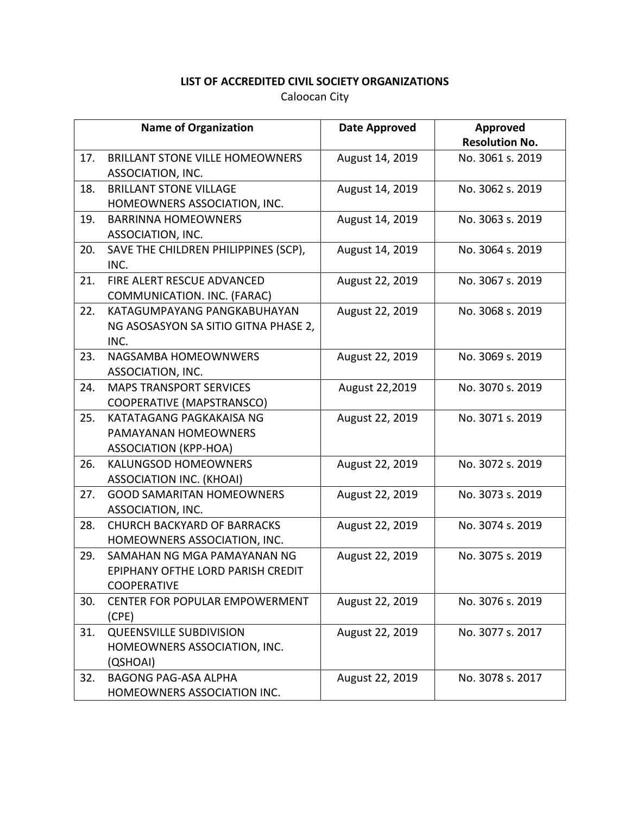|     | <b>Name of Organization</b>            | <b>Date Approved</b> | Approved              |
|-----|----------------------------------------|----------------------|-----------------------|
|     |                                        |                      | <b>Resolution No.</b> |
| 17. | <b>BRILLANT STONE VILLE HOMEOWNERS</b> | August 14, 2019      | No. 3061 s. 2019      |
|     | ASSOCIATION, INC.                      |                      |                       |
| 18. | <b>BRILLANT STONE VILLAGE</b>          | August 14, 2019      | No. 3062 s. 2019      |
|     | HOMEOWNERS ASSOCIATION, INC.           |                      |                       |
| 19. | <b>BARRINNA HOMEOWNERS</b>             | August 14, 2019      | No. 3063 s. 2019      |
|     | ASSOCIATION, INC.                      |                      |                       |
| 20. | SAVE THE CHILDREN PHILIPPINES (SCP),   | August 14, 2019      | No. 3064 s. 2019      |
|     | INC.                                   |                      |                       |
| 21. | FIRE ALERT RESCUE ADVANCED             | August 22, 2019      | No. 3067 s. 2019      |
|     | COMMUNICATION. INC. (FARAC)            |                      |                       |
| 22. | KATAGUMPAYANG PANGKABUHAYAN            | August 22, 2019      | No. 3068 s. 2019      |
|     | NG ASOSASYON SA SITIO GITNA PHASE 2,   |                      |                       |
|     | INC.                                   |                      |                       |
| 23. | NAGSAMBA HOMEOWNWERS                   | August 22, 2019      | No. 3069 s. 2019      |
|     | ASSOCIATION, INC.                      |                      |                       |
| 24. | <b>MAPS TRANSPORT SERVICES</b>         | August 22,2019       | No. 3070 s. 2019      |
|     | COOPERATIVE (MAPSTRANSCO)              |                      |                       |
| 25. | KATATAGANG PAGKAKAISA NG               | August 22, 2019      | No. 3071 s. 2019      |
|     | PAMAYANAN HOMEOWNERS                   |                      |                       |
|     | <b>ASSOCIATION (KPP-HOA)</b>           |                      |                       |
| 26. | <b>KALUNGSOD HOMEOWNERS</b>            | August 22, 2019      | No. 3072 s. 2019      |
|     | <b>ASSOCIATION INC. (KHOAI)</b>        |                      |                       |
| 27. | <b>GOOD SAMARITAN HOMEOWNERS</b>       | August 22, 2019      | No. 3073 s. 2019      |
|     | ASSOCIATION, INC.                      |                      |                       |
| 28. | <b>CHURCH BACKYARD OF BARRACKS</b>     | August 22, 2019      | No. 3074 s. 2019      |
|     | HOMEOWNERS ASSOCIATION, INC.           |                      |                       |
| 29. | SAMAHAN NG MGA PAMAYANAN NG            | August 22, 2019      | No. 3075 s. 2019      |
|     | EPIPHANY OFTHE LORD PARISH CREDIT      |                      |                       |
|     | <b>COOPERATIVE</b>                     |                      |                       |
| 30. | <b>CENTER FOR POPULAR EMPOWERMENT</b>  | August 22, 2019      | No. 3076 s. 2019      |
|     | (CPE)                                  |                      |                       |
| 31. | <b>QUEENSVILLE SUBDIVISION</b>         | August 22, 2019      | No. 3077 s. 2017      |
|     | HOMEOWNERS ASSOCIATION, INC.           |                      |                       |
|     | (QSHOAI)                               |                      |                       |
| 32. | <b>BAGONG PAG-ASA ALPHA</b>            | August 22, 2019      | No. 3078 s. 2017      |
|     | HOMEOWNERS ASSOCIATION INC.            |                      |                       |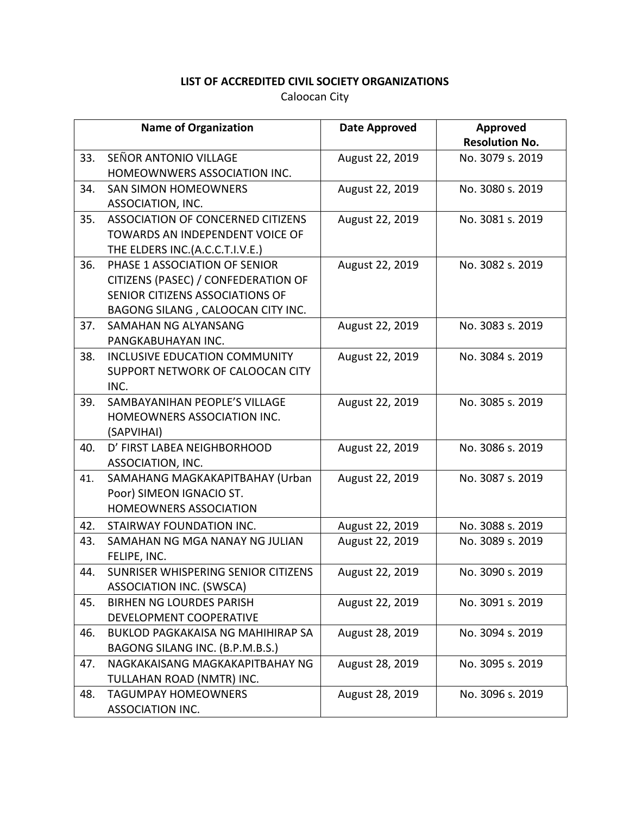|     | <b>Name of Organization</b>                                                                                                                  | <b>Date Approved</b> | Approved<br><b>Resolution No.</b> |
|-----|----------------------------------------------------------------------------------------------------------------------------------------------|----------------------|-----------------------------------|
| 33. | SEÑOR ANTONIO VILLAGE<br>HOMEOWNWERS ASSOCIATION INC.                                                                                        | August 22, 2019      | No. 3079 s. 2019                  |
| 34. | <b>SAN SIMON HOMEOWNERS</b><br>ASSOCIATION, INC.                                                                                             | August 22, 2019      | No. 3080 s. 2019                  |
| 35. | ASSOCIATION OF CONCERNED CITIZENS<br>TOWARDS AN INDEPENDENT VOICE OF<br>THE ELDERS INC.(A.C.C.T.I.V.E.)                                      | August 22, 2019      | No. 3081 s. 2019                  |
| 36. | PHASE 1 ASSOCIATION OF SENIOR<br>CITIZENS (PASEC) / CONFEDERATION OF<br>SENIOR CITIZENS ASSOCIATIONS OF<br>BAGONG SILANG, CALOOCAN CITY INC. | August 22, 2019      | No. 3082 s. 2019                  |
| 37. | SAMAHAN NG ALYANSANG<br>PANGKABUHAYAN INC.                                                                                                   | August 22, 2019      | No. 3083 s. 2019                  |
| 38. | <b>INCLUSIVE EDUCATION COMMUNITY</b><br>SUPPORT NETWORK OF CALOOCAN CITY<br>INC.                                                             | August 22, 2019      | No. 3084 s. 2019                  |
| 39. | SAMBAYANIHAN PEOPLE'S VILLAGE<br>HOMEOWNERS ASSOCIATION INC.<br>(SAPVIHAI)                                                                   | August 22, 2019      | No. 3085 s. 2019                  |
| 40. | D' FIRST LABEA NEIGHBORHOOD<br>ASSOCIATION, INC.                                                                                             | August 22, 2019      | No. 3086 s. 2019                  |
| 41. | SAMAHANG MAGKAKAPITBAHAY (Urban<br>Poor) SIMEON IGNACIO ST.<br><b>HOMEOWNERS ASSOCIATION</b>                                                 | August 22, 2019      | No. 3087 s. 2019                  |
| 42. | STAIRWAY FOUNDATION INC.                                                                                                                     | August 22, 2019      | No. 3088 s. 2019                  |
| 43. | SAMAHAN NG MGA NANAY NG JULIAN<br>FELIPE, INC.                                                                                               | August 22, 2019      | No. 3089 s. 2019                  |
| 44. | SUNRISER WHISPERING SENIOR CITIZENS<br>ASSOCIATION INC. (SWSCA)                                                                              | August 22, 2019      | No. 3090 s. 2019                  |
| 45. | <b>BIRHEN NG LOURDES PARISH</b><br>DEVELOPMENT COOPERATIVE                                                                                   | August 22, 2019      | No. 3091 s. 2019                  |
| 46. | <b>BUKLOD PAGKAKAISA NG MAHIHIRAP SA</b><br>BAGONG SILANG INC. (B.P.M.B.S.)                                                                  | August 28, 2019      | No. 3094 s. 2019                  |
| 47. | NAGKAKAISANG MAGKAKAPITBAHAY NG<br>TULLAHAN ROAD (NMTR) INC.                                                                                 | August 28, 2019      | No. 3095 s. 2019                  |
| 48. | <b>TAGUMPAY HOMEOWNERS</b><br>ASSOCIATION INC.                                                                                               | August 28, 2019      | No. 3096 s. 2019                  |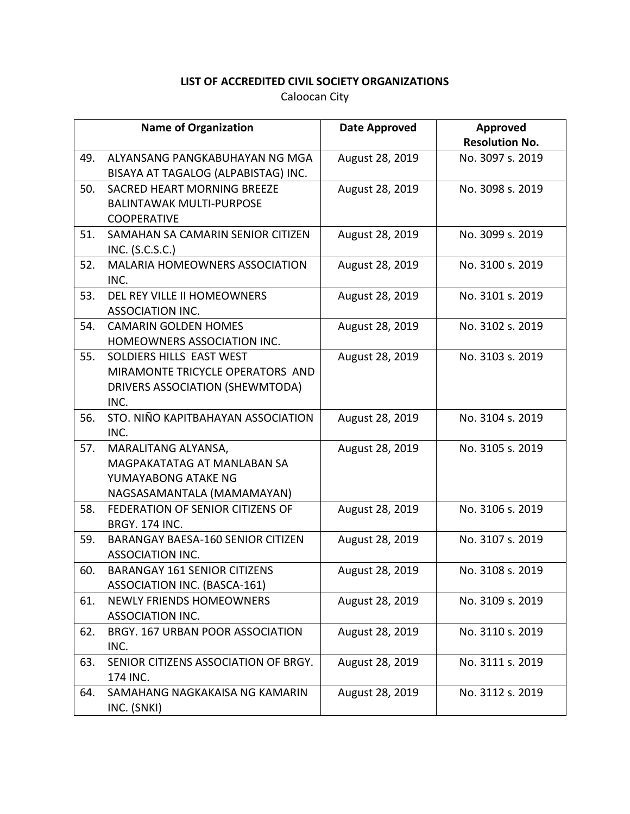|     | <b>Name of Organization</b>                                                                             | <b>Date Approved</b> | Approved<br><b>Resolution No.</b> |
|-----|---------------------------------------------------------------------------------------------------------|----------------------|-----------------------------------|
| 49. | ALYANSANG PANGKABUHAYAN NG MGA<br>BISAYA AT TAGALOG (ALPABISTAG) INC.                                   | August 28, 2019      | No. 3097 s. 2019                  |
| 50. | SACRED HEART MORNING BREEZE<br><b>BALINTAWAK MULTI-PURPOSE</b><br><b>COOPERATIVE</b>                    | August 28, 2019      | No. 3098 s. 2019                  |
| 51. | SAMAHAN SA CAMARIN SENIOR CITIZEN<br>INC. (S.C.S.C.)                                                    | August 28, 2019      | No. 3099 s. 2019                  |
| 52. | <b>MALARIA HOMEOWNERS ASSOCIATION</b><br>INC.                                                           | August 28, 2019      | No. 3100 s. 2019                  |
| 53. | DEL REY VILLE II HOMEOWNERS<br>ASSOCIATION INC.                                                         | August 28, 2019      | No. 3101 s. 2019                  |
| 54. | <b>CAMARIN GOLDEN HOMES</b><br>HOMEOWNERS ASSOCIATION INC.                                              | August 28, 2019      | No. 3102 s. 2019                  |
| 55. | SOLDIERS HILLS EAST WEST<br>MIRAMONTE TRICYCLE OPERATORS AND<br>DRIVERS ASSOCIATION (SHEWMTODA)<br>INC. | August 28, 2019      | No. 3103 s. 2019                  |
| 56. | STO. NIÑO KAPITBAHAYAN ASSOCIATION<br>INC.                                                              | August 28, 2019      | No. 3104 s. 2019                  |
| 57. | MARALITANG ALYANSA,<br>MAGPAKATATAG AT MANLABAN SA<br>YUMAYABONG ATAKE NG<br>NAGSASAMANTALA (MAMAMAYAN) | August 28, 2019      | No. 3105 s. 2019                  |
| 58. | FEDERATION OF SENIOR CITIZENS OF<br><b>BRGY. 174 INC.</b>                                               | August 28, 2019      | No. 3106 s. 2019                  |
| 59. | <b>BARANGAY BAESA-160 SENIOR CITIZEN</b><br>ASSOCIATION INC.                                            | August 28, 2019      | No. 3107 s. 2019                  |
| 60. | <b>BARANGAY 161 SENIOR CITIZENS</b><br><b>ASSOCIATION INC. (BASCA-161)</b>                              | August 28, 2019      | No. 3108 s. 2019                  |
| 61. | <b>NEWLY FRIENDS HOMEOWNERS</b><br>ASSOCIATION INC.                                                     | August 28, 2019      | No. 3109 s. 2019                  |
| 62. | BRGY. 167 URBAN POOR ASSOCIATION<br>INC.                                                                | August 28, 2019      | No. 3110 s. 2019                  |
| 63. | SENIOR CITIZENS ASSOCIATION OF BRGY.<br>174 INC.                                                        | August 28, 2019      | No. 3111 s. 2019                  |
| 64. | SAMAHANG NAGKAKAISA NG KAMARIN<br>INC. (SNKI)                                                           | August 28, 2019      | No. 3112 s. 2019                  |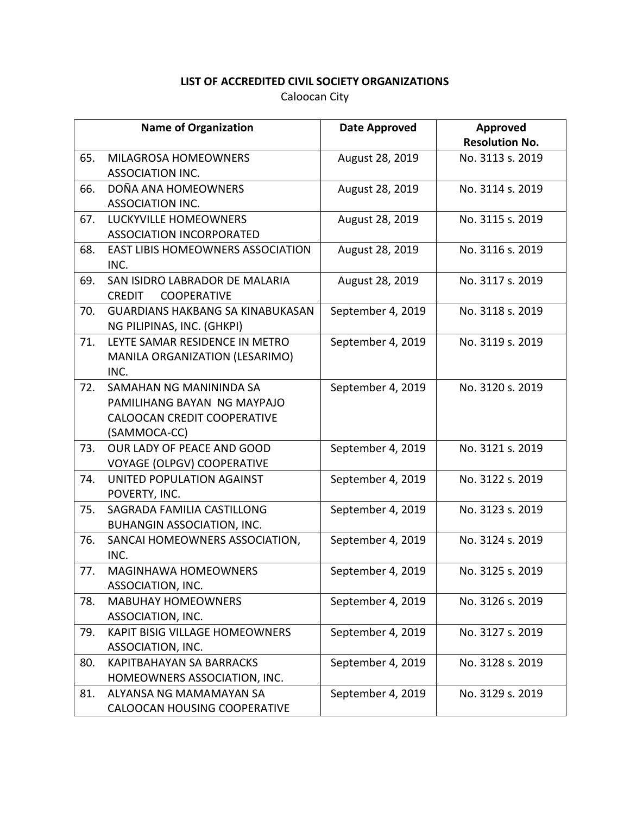|     | <b>Name of Organization</b>              | <b>Date Approved</b> | Approved              |
|-----|------------------------------------------|----------------------|-----------------------|
|     |                                          |                      | <b>Resolution No.</b> |
| 65. | MILAGROSA HOMEOWNERS<br>ASSOCIATION INC. | August 28, 2019      | No. 3113 s. 2019      |
|     |                                          |                      |                       |
| 66. | DOÑA ANA HOMEOWNERS                      | August 28, 2019      | No. 3114 s. 2019      |
|     | ASSOCIATION INC.                         |                      |                       |
| 67. | LUCKYVILLE HOMEOWNERS                    | August 28, 2019      | No. 3115 s. 2019      |
|     | ASSOCIATION INCORPORATED                 |                      |                       |
| 68. | EAST LIBIS HOMEOWNERS ASSOCIATION        | August 28, 2019      | No. 3116 s. 2019      |
|     | INC.                                     |                      |                       |
| 69. | SAN ISIDRO LABRADOR DE MALARIA           | August 28, 2019      | No. 3117 s. 2019      |
|     | COOPERATIVE<br><b>CREDIT</b>             |                      |                       |
| 70. | <b>GUARDIANS HAKBANG SA KINABUKASAN</b>  | September 4, 2019    | No. 3118 s. 2019      |
|     | NG PILIPINAS, INC. (GHKPI)               |                      |                       |
| 71. | LEYTE SAMAR RESIDENCE IN METRO           | September 4, 2019    | No. 3119 s. 2019      |
|     | MANILA ORGANIZATION (LESARIMO)           |                      |                       |
|     | INC.                                     |                      |                       |
| 72. | SAMAHAN NG MANININDA SA                  | September 4, 2019    | No. 3120 s. 2019      |
|     | PAMILIHANG BAYAN NG MAYPAJO              |                      |                       |
|     | CALOOCAN CREDIT COOPERATIVE              |                      |                       |
|     | (SAMMOCA-CC)                             |                      |                       |
| 73. | OUR LADY OF PEACE AND GOOD               | September 4, 2019    | No. 3121 s. 2019      |
|     | <b>VOYAGE (OLPGV) COOPERATIVE</b>        |                      |                       |
| 74. | UNITED POPULATION AGAINST                | September 4, 2019    | No. 3122 s. 2019      |
|     | POVERTY, INC.                            |                      |                       |
| 75. | SAGRADA FAMILIA CASTILLONG               | September 4, 2019    | No. 3123 s. 2019      |
|     | BUHANGIN ASSOCIATION, INC.               |                      |                       |
| 76. | SANCAI HOMEOWNERS ASSOCIATION,           | September 4, 2019    | No. 3124 s. 2019      |
|     | INC.                                     |                      |                       |
| 77. | <b>MAGINHAWA HOMEOWNERS</b>              | September 4, 2019    | No. 3125 s. 2019      |
|     | ASSOCIATION, INC.                        |                      |                       |
| 78. | <b>MABUHAY HOMEOWNERS</b>                | September 4, 2019    | No. 3126 s. 2019      |
|     | ASSOCIATION, INC.                        |                      |                       |
| 79. | <b>KAPIT BISIG VILLAGE HOMEOWNERS</b>    | September 4, 2019    | No. 3127 s. 2019      |
|     | ASSOCIATION, INC.                        |                      |                       |
| 80. | KAPITBAHAYAN SA BARRACKS                 | September 4, 2019    | No. 3128 s. 2019      |
|     | HOMEOWNERS ASSOCIATION, INC.             |                      |                       |
| 81. | ALYANSA NG MAMAMAYAN SA                  | September 4, 2019    | No. 3129 s. 2019      |
|     | CALOOCAN HOUSING COOPERATIVE             |                      |                       |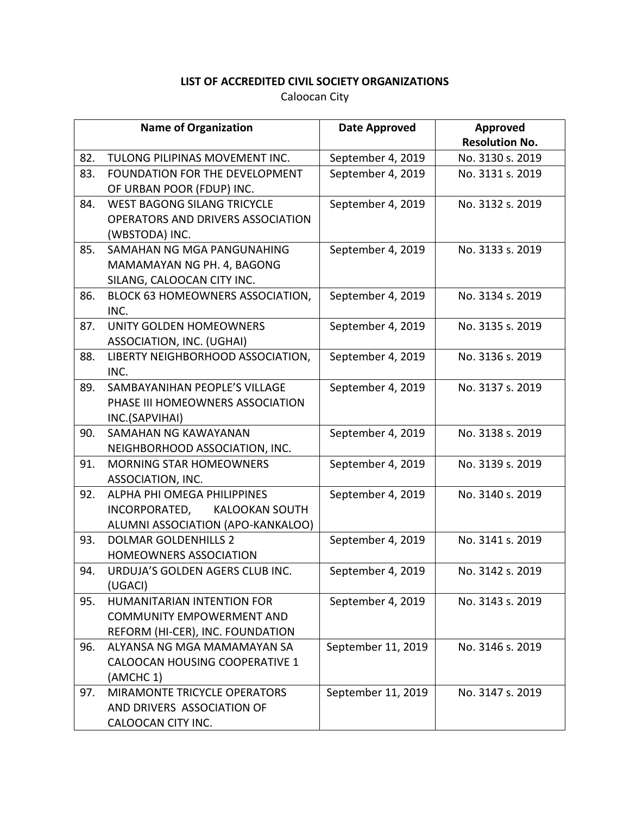|     | <b>Name of Organization</b>        | <b>Date Approved</b> | Approved              |
|-----|------------------------------------|----------------------|-----------------------|
|     |                                    |                      | <b>Resolution No.</b> |
| 82. | TULONG PILIPINAS MOVEMENT INC.     | September 4, 2019    | No. 3130 s. 2019      |
| 83. | FOUNDATION FOR THE DEVELOPMENT     | September 4, 2019    | No. 3131 s. 2019      |
|     | OF URBAN POOR (FDUP) INC.          |                      |                       |
| 84. | <b>WEST BAGONG SILANG TRICYCLE</b> | September 4, 2019    | No. 3132 s. 2019      |
|     | OPERATORS AND DRIVERS ASSOCIATION  |                      |                       |
|     | (WBSTODA) INC.                     |                      |                       |
| 85. | SAMAHAN NG MGA PANGUNAHING         | September 4, 2019    | No. 3133 s. 2019      |
|     | MAMAMAYAN NG PH. 4, BAGONG         |                      |                       |
|     | SILANG, CALOOCAN CITY INC.         |                      |                       |
| 86. | BLOCK 63 HOMEOWNERS ASSOCIATION,   | September 4, 2019    | No. 3134 s. 2019      |
|     | INC.                               |                      |                       |
| 87. | UNITY GOLDEN HOMEOWNERS            | September 4, 2019    | No. 3135 s. 2019      |
|     | ASSOCIATION, INC. (UGHAI)          |                      |                       |
| 88. | LIBERTY NEIGHBORHOOD ASSOCIATION,  | September 4, 2019    | No. 3136 s. 2019      |
|     | INC.                               |                      |                       |
| 89. | SAMBAYANIHAN PEOPLE'S VILLAGE      | September 4, 2019    | No. 3137 s. 2019      |
|     | PHASE III HOMEOWNERS ASSOCIATION   |                      |                       |
|     | INC.(SAPVIHAI)                     |                      |                       |
| 90. | SAMAHAN NG KAWAYANAN               | September 4, 2019    | No. 3138 s. 2019      |
|     | NEIGHBORHOOD ASSOCIATION, INC.     |                      |                       |
| 91. | <b>MORNING STAR HOMEOWNERS</b>     | September 4, 2019    | No. 3139 s. 2019      |
|     | ASSOCIATION, INC.                  |                      |                       |
| 92. | ALPHA PHI OMEGA PHILIPPINES        | September 4, 2019    | No. 3140 s. 2019      |
|     | INCORPORATED,<br>KALOOKAN SOUTH    |                      |                       |
|     | ALUMNI ASSOCIATION (APO-KANKALOO)  |                      |                       |
| 93. | <b>DOLMAR GOLDENHILLS 2</b>        | September 4, 2019    | No. 3141 s. 2019      |
|     | <b>HOMEOWNERS ASSOCIATION</b>      |                      |                       |
| 94. | URDUJA'S GOLDEN AGERS CLUB INC.    | September 4, 2019    | No. 3142 s. 2019      |
|     | (UGACI)                            |                      |                       |
| 95. | <b>HUMANITARIAN INTENTION FOR</b>  | September 4, 2019    | No. 3143 s. 2019      |
|     | <b>COMMUNITY EMPOWERMENT AND</b>   |                      |                       |
|     | REFORM (HI-CER), INC. FOUNDATION   |                      |                       |
| 96. | ALYANSA NG MGA MAMAMAYAN SA        | September 11, 2019   | No. 3146 s. 2019      |
|     | CALOOCAN HOUSING COOPERATIVE 1     |                      |                       |
|     | (AMCHC 1)                          |                      |                       |
| 97. | MIRAMONTE TRICYCLE OPERATORS       | September 11, 2019   | No. 3147 s. 2019      |
|     | AND DRIVERS ASSOCIATION OF         |                      |                       |
|     | CALOOCAN CITY INC.                 |                      |                       |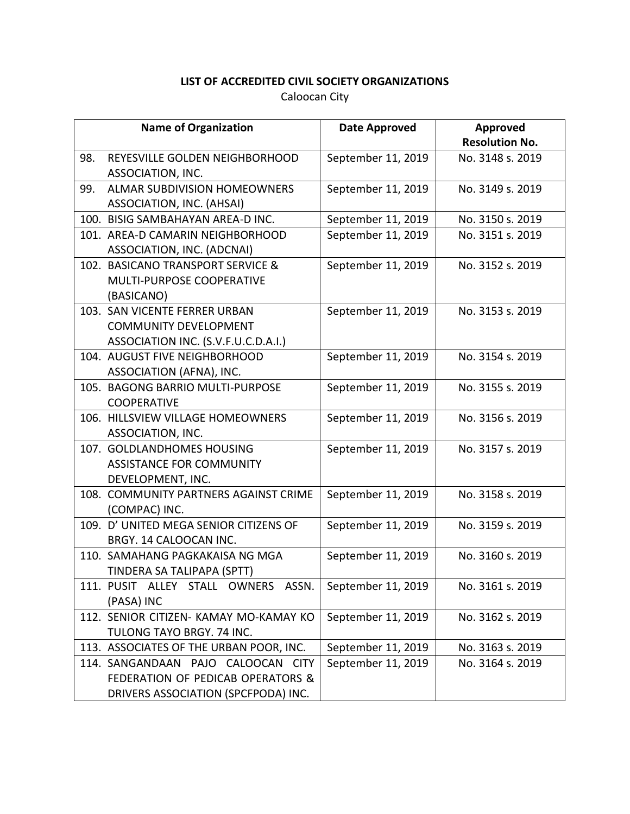|     | <b>Name of Organization</b>             | Date Approved      | Approved              |
|-----|-----------------------------------------|--------------------|-----------------------|
|     |                                         |                    | <b>Resolution No.</b> |
| 98. | REYESVILLE GOLDEN NEIGHBORHOOD          | September 11, 2019 | No. 3148 s. 2019      |
|     | ASSOCIATION, INC.                       |                    |                       |
| 99. | <b>ALMAR SUBDIVISION HOMEOWNERS</b>     | September 11, 2019 | No. 3149 s. 2019      |
|     | ASSOCIATION, INC. (AHSAI)               |                    |                       |
|     | 100. BISIG SAMBAHAYAN AREA-D INC.       | September 11, 2019 | No. 3150 s. 2019      |
|     | 101. AREA-D CAMARIN NEIGHBORHOOD        | September 11, 2019 | No. 3151 s. 2019      |
|     | ASSOCIATION, INC. (ADCNAI)              |                    |                       |
|     | 102. BASICANO TRANSPORT SERVICE &       | September 11, 2019 | No. 3152 s. 2019      |
|     | MULTI-PURPOSE COOPERATIVE               |                    |                       |
|     | (BASICANO)                              |                    |                       |
|     | 103. SAN VICENTE FERRER URBAN           | September 11, 2019 | No. 3153 s. 2019      |
|     | <b>COMMUNITY DEVELOPMENT</b>            |                    |                       |
|     | ASSOCIATION INC. (S.V.F.U.C.D.A.I.)     |                    |                       |
|     | 104. AUGUST FIVE NEIGHBORHOOD           | September 11, 2019 | No. 3154 s. 2019      |
|     | ASSOCIATION (AFNA), INC.                |                    |                       |
|     | 105. BAGONG BARRIO MULTI-PURPOSE        | September 11, 2019 | No. 3155 s. 2019      |
|     | <b>COOPERATIVE</b>                      |                    |                       |
|     | 106. HILLSVIEW VILLAGE HOMEOWNERS       | September 11, 2019 | No. 3156 s. 2019      |
|     | ASSOCIATION, INC.                       |                    |                       |
|     | 107. GOLDLANDHOMES HOUSING              | September 11, 2019 | No. 3157 s. 2019      |
|     | <b>ASSISTANCE FOR COMMUNITY</b>         |                    |                       |
|     | DEVELOPMENT, INC.                       |                    |                       |
|     | 108. COMMUNITY PARTNERS AGAINST CRIME   | September 11, 2019 | No. 3158 s. 2019      |
|     | (COMPAC) INC.                           |                    |                       |
|     | 109. D'UNITED MEGA SENIOR CITIZENS OF   | September 11, 2019 | No. 3159 s. 2019      |
|     | BRGY. 14 CALOOCAN INC.                  |                    |                       |
|     | 110. SAMAHANG PAGKAKAISA NG MGA         | September 11, 2019 | No. 3160 s. 2019      |
|     | TINDERA SA TALIPAPA (SPTT)              |                    |                       |
|     | 111. PUSIT ALLEY STALL OWNERS ASSN.     | September 11, 2019 | No. 3161 s. 2019      |
|     | (PASA) INC                              |                    |                       |
|     | 112. SENIOR CITIZEN- KAMAY MO-KAMAY KO  | September 11, 2019 | No. 3162 s. 2019      |
|     | TULONG TAYO BRGY. 74 INC.               |                    |                       |
|     | 113. ASSOCIATES OF THE URBAN POOR, INC. | September 11, 2019 | No. 3163 s. 2019      |
|     | 114. SANGANDAAN PAJO CALOOCAN CITY      | September 11, 2019 | No. 3164 s. 2019      |
|     | FEDERATION OF PEDICAB OPERATORS &       |                    |                       |
|     | DRIVERS ASSOCIATION (SPCFPODA) INC.     |                    |                       |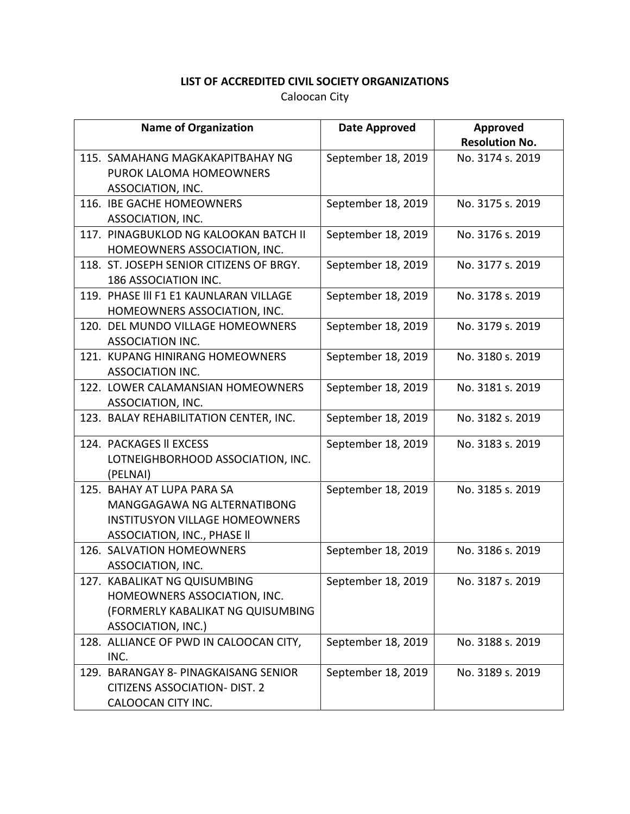| <b>Name of Organization</b>              | Date Approved      | Approved              |
|------------------------------------------|--------------------|-----------------------|
|                                          |                    | <b>Resolution No.</b> |
| 115. SAMAHANG MAGKAKAPITBAHAY NG         | September 18, 2019 | No. 3174 s. 2019      |
| PUROK LALOMA HOMEOWNERS                  |                    |                       |
| ASSOCIATION, INC.                        |                    |                       |
| 116. IBE GACHE HOMEOWNERS                | September 18, 2019 | No. 3175 s. 2019      |
| ASSOCIATION, INC.                        |                    |                       |
| 117. PINAGBUKLOD NG KALOOKAN BATCH II    | September 18, 2019 | No. 3176 s. 2019      |
| HOMEOWNERS ASSOCIATION, INC.             |                    |                       |
| 118. ST. JOSEPH SENIOR CITIZENS OF BRGY. | September 18, 2019 | No. 3177 s. 2019      |
| 186 ASSOCIATION INC.                     |                    |                       |
| 119. PHASE III F1 E1 KAUNLARAN VILLAGE   | September 18, 2019 | No. 3178 s. 2019      |
| HOMEOWNERS ASSOCIATION, INC.             |                    |                       |
| 120. DEL MUNDO VILLAGE HOMEOWNERS        | September 18, 2019 | No. 3179 s. 2019      |
| ASSOCIATION INC.                         |                    |                       |
| 121. KUPANG HINIRANG HOMEOWNERS          | September 18, 2019 | No. 3180 s. 2019      |
| ASSOCIATION INC.                         |                    |                       |
| 122. LOWER CALAMANSIAN HOMEOWNERS        | September 18, 2019 | No. 3181 s. 2019      |
| ASSOCIATION, INC.                        |                    |                       |
| 123. BALAY REHABILITATION CENTER, INC.   | September 18, 2019 | No. 3182 s. 2019      |
| 124. PACKAGES II EXCESS                  | September 18, 2019 | No. 3183 s. 2019      |
| LOTNEIGHBORHOOD ASSOCIATION, INC.        |                    |                       |
| (PELNAI)                                 |                    |                       |
| 125. BAHAY AT LUPA PARA SA               | September 18, 2019 | No. 3185 s. 2019      |
| MANGGAGAWA NG ALTERNATIBONG              |                    |                       |
| <b>INSTITUSYON VILLAGE HOMEOWNERS</b>    |                    |                       |
| ASSOCIATION, INC., PHASE II              |                    |                       |
| 126. SALVATION HOMEOWNERS                | September 18, 2019 | No. 3186 s. 2019      |
| ASSOCIATION, INC.                        |                    |                       |
| 127. KABALIKAT NG QUISUMBING             | September 18, 2019 | No. 3187 s. 2019      |
| HOMEOWNERS ASSOCIATION, INC.             |                    |                       |
| (FORMERLY KABALIKAT NG QUISUMBING        |                    |                       |
| ASSOCIATION, INC.)                       |                    |                       |
| 128. ALLIANCE OF PWD IN CALOOCAN CITY,   | September 18, 2019 | No. 3188 s. 2019      |
| INC.                                     |                    |                       |
| 129. BARANGAY 8- PINAGKAISANG SENIOR     | September 18, 2019 | No. 3189 s. 2019      |
| <b>CITIZENS ASSOCIATION- DIST. 2</b>     |                    |                       |
| CALOOCAN CITY INC.                       |                    |                       |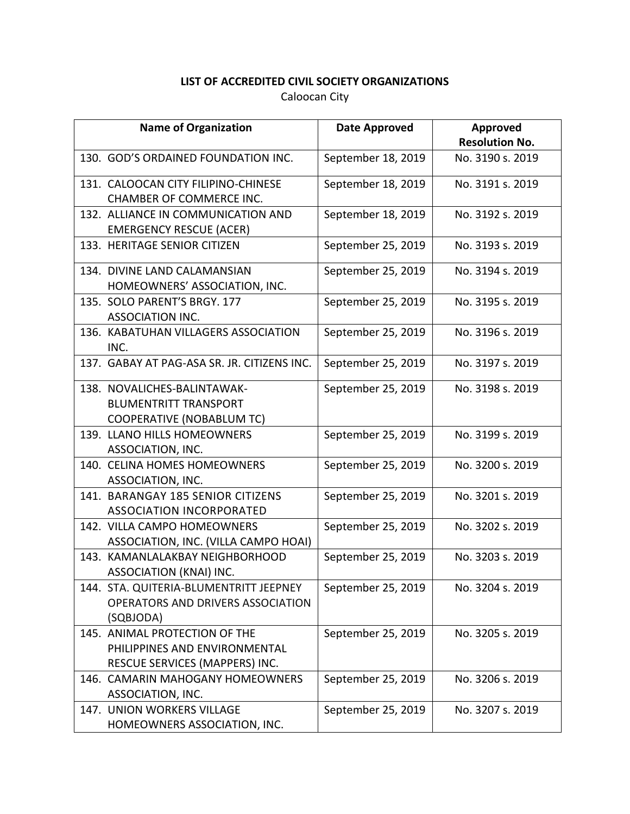| <b>Name of Organization</b>                                                                      | Date Approved      | Approved<br><b>Resolution No.</b> |
|--------------------------------------------------------------------------------------------------|--------------------|-----------------------------------|
| 130. GOD'S ORDAINED FOUNDATION INC.                                                              | September 18, 2019 | No. 3190 s. 2019                  |
| 131. CALOOCAN CITY FILIPINO-CHINESE<br><b>CHAMBER OF COMMERCE INC.</b>                           | September 18, 2019 | No. 3191 s. 2019                  |
| 132. ALLIANCE IN COMMUNICATION AND<br><b>EMERGENCY RESCUE (ACER)</b>                             | September 18, 2019 | No. 3192 s. 2019                  |
| 133. HERITAGE SENIOR CITIZEN                                                                     | September 25, 2019 | No. 3193 s. 2019                  |
| 134. DIVINE LAND CALAMANSIAN<br>HOMEOWNERS' ASSOCIATION, INC.                                    | September 25, 2019 | No. 3194 s. 2019                  |
| 135. SOLO PARENT'S BRGY. 177<br>ASSOCIATION INC.                                                 | September 25, 2019 | No. 3195 s. 2019                  |
| 136. KABATUHAN VILLAGERS ASSOCIATION<br>INC.                                                     | September 25, 2019 | No. 3196 s. 2019                  |
| 137. GABAY AT PAG-ASA SR. JR. CITIZENS INC.                                                      | September 25, 2019 | No. 3197 s. 2019                  |
| 138. NOVALICHES-BALINTAWAK-<br><b>BLUMENTRITT TRANSPORT</b><br><b>COOPERATIVE (NOBABLUM TC)</b>  | September 25, 2019 | No. 3198 s. 2019                  |
| 139. LLANO HILLS HOMEOWNERS<br>ASSOCIATION, INC.                                                 | September 25, 2019 | No. 3199 s. 2019                  |
| 140. CELINA HOMES HOMEOWNERS<br>ASSOCIATION, INC.                                                | September 25, 2019 | No. 3200 s. 2019                  |
| 141. BARANGAY 185 SENIOR CITIZENS<br>ASSOCIATION INCORPORATED                                    | September 25, 2019 | No. 3201 s. 2019                  |
| 142. VILLA CAMPO HOMEOWNERS<br>ASSOCIATION, INC. (VILLA CAMPO HOAI)                              | September 25, 2019 | No. 3202 s. 2019                  |
| 143. KAMANLALAKBAY NEIGHBORHOOD<br>ASSOCIATION (KNAI) INC.                                       | September 25, 2019 | No. 3203 s. 2019                  |
| 144. STA. QUITERIA-BLUMENTRITT JEEPNEY<br>OPERATORS AND DRIVERS ASSOCIATION<br>(SQBJODA)         | September 25, 2019 | No. 3204 s. 2019                  |
| 145. ANIMAL PROTECTION OF THE<br>PHILIPPINES AND ENVIRONMENTAL<br>RESCUE SERVICES (MAPPERS) INC. | September 25, 2019 | No. 3205 s. 2019                  |
| 146. CAMARIN MAHOGANY HOMEOWNERS<br>ASSOCIATION, INC.                                            | September 25, 2019 | No. 3206 s. 2019                  |
| 147. UNION WORKERS VILLAGE<br>HOMEOWNERS ASSOCIATION, INC.                                       | September 25, 2019 | No. 3207 s. 2019                  |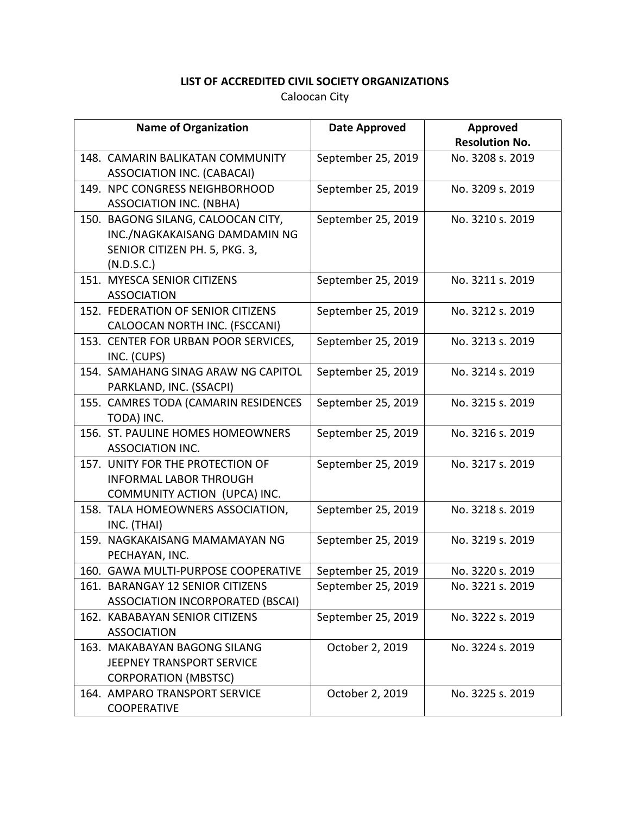| <b>Name of Organization</b>                                                                                        | <b>Date Approved</b> | Approved<br><b>Resolution No.</b> |
|--------------------------------------------------------------------------------------------------------------------|----------------------|-----------------------------------|
| 148. CAMARIN BALIKATAN COMMUNITY<br>ASSOCIATION INC. (CABACAI)                                                     | September 25, 2019   | No. 3208 s. 2019                  |
| 149. NPC CONGRESS NEIGHBORHOOD<br><b>ASSOCIATION INC. (NBHA)</b>                                                   | September 25, 2019   | No. 3209 s. 2019                  |
| 150. BAGONG SILANG, CALOOCAN CITY,<br>INC./NAGKAKAISANG DAMDAMIN NG<br>SENIOR CITIZEN PH. 5, PKG. 3,<br>(N.D.S.C.) | September 25, 2019   | No. 3210 s. 2019                  |
| 151. MYESCA SENIOR CITIZENS<br><b>ASSOCIATION</b>                                                                  | September 25, 2019   | No. 3211 s. 2019                  |
| 152. FEDERATION OF SENIOR CITIZENS<br>CALOOCAN NORTH INC. (FSCCANI)                                                | September 25, 2019   | No. 3212 s. 2019                  |
| 153. CENTER FOR URBAN POOR SERVICES,<br>INC. (CUPS)                                                                | September 25, 2019   | No. 3213 s. 2019                  |
| 154. SAMAHANG SINAG ARAW NG CAPITOL<br>PARKLAND, INC. (SSACPI)                                                     | September 25, 2019   | No. 3214 s. 2019                  |
| 155. CAMRES TODA (CAMARIN RESIDENCES<br>TODA) INC.                                                                 | September 25, 2019   | No. 3215 s. 2019                  |
| 156. ST. PAULINE HOMES HOMEOWNERS<br><b>ASSOCIATION INC.</b>                                                       | September 25, 2019   | No. 3216 s. 2019                  |
| 157. UNITY FOR THE PROTECTION OF<br><b>INFORMAL LABOR THROUGH</b><br>COMMUNITY ACTION (UPCA) INC.                  | September 25, 2019   | No. 3217 s. 2019                  |
| 158. TALA HOMEOWNERS ASSOCIATION,<br>INC. (THAI)                                                                   | September 25, 2019   | No. 3218 s. 2019                  |
| 159. NAGKAKAISANG MAMAMAYAN NG<br>PECHAYAN, INC.                                                                   | September 25, 2019   | No. 3219 s. 2019                  |
| 160. GAWA MULTI-PURPOSE COOPERATIVE                                                                                | September 25, 2019   | No. 3220 s. 2019                  |
| 161. BARANGAY 12 SENIOR CITIZENS<br><b>ASSOCIATION INCORPORATED (BSCAI)</b>                                        | September 25, 2019   | No. 3221 s. 2019                  |
| 162. KABABAYAN SENIOR CITIZENS<br><b>ASSOCIATION</b>                                                               | September 25, 2019   | No. 3222 s. 2019                  |
| 163. MAKABAYAN BAGONG SILANG<br>JEEPNEY TRANSPORT SERVICE<br><b>CORPORATION (MBSTSC)</b>                           | October 2, 2019      | No. 3224 s. 2019                  |
| 164. AMPARO TRANSPORT SERVICE<br><b>COOPERATIVE</b>                                                                | October 2, 2019      | No. 3225 s. 2019                  |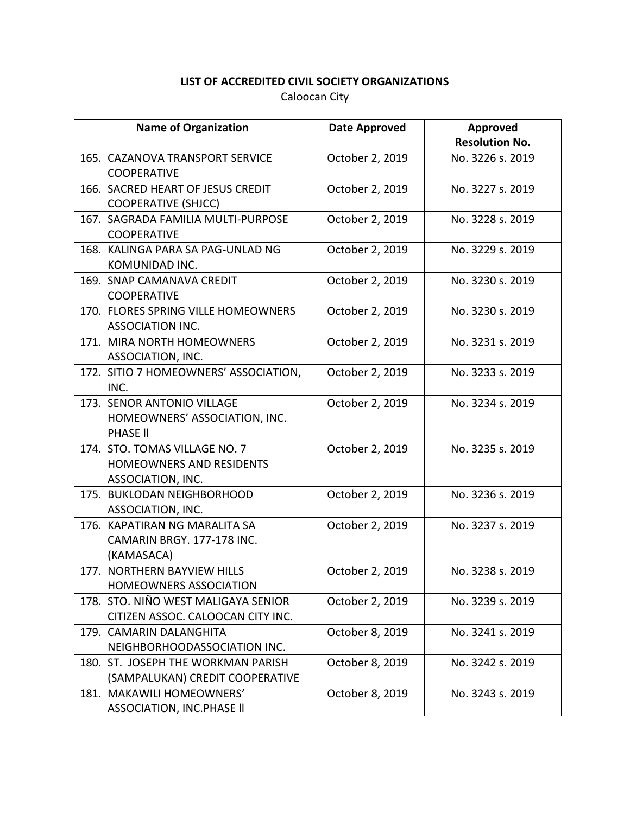| <b>Name of Organization</b>                                                           | <b>Date Approved</b> | Approved<br><b>Resolution No.</b> |
|---------------------------------------------------------------------------------------|----------------------|-----------------------------------|
| 165. CAZANOVA TRANSPORT SERVICE<br><b>COOPERATIVE</b>                                 | October 2, 2019      | No. 3226 s. 2019                  |
| 166. SACRED HEART OF JESUS CREDIT<br><b>COOPERATIVE (SHJCC)</b>                       | October 2, 2019      | No. 3227 s. 2019                  |
| 167. SAGRADA FAMILIA MULTI-PURPOSE<br><b>COOPERATIVE</b>                              | October 2, 2019      | No. 3228 s. 2019                  |
| 168. KALINGA PARA SA PAG-UNLAD NG<br>KOMUNIDAD INC.                                   | October 2, 2019      | No. 3229 s. 2019                  |
| 169. SNAP CAMANAVA CREDIT<br><b>COOPERATIVE</b>                                       | October 2, 2019      | No. 3230 s. 2019                  |
| 170. FLORES SPRING VILLE HOMEOWNERS<br>ASSOCIATION INC.                               | October 2, 2019      | No. 3230 s. 2019                  |
| 171. MIRA NORTH HOMEOWNERS<br>ASSOCIATION, INC.                                       | October 2, 2019      | No. 3231 s. 2019                  |
| 172. SITIO 7 HOMEOWNERS' ASSOCIATION,<br>INC.                                         | October 2, 2019      | No. 3233 s. 2019                  |
| 173. SENOR ANTONIO VILLAGE<br>HOMEOWNERS' ASSOCIATION, INC.<br><b>PHASE II</b>        | October 2, 2019      | No. 3234 s. 2019                  |
| 174. STO. TOMAS VILLAGE NO. 7<br><b>HOMEOWNERS AND RESIDENTS</b><br>ASSOCIATION, INC. | October 2, 2019      | No. 3235 s. 2019                  |
| 175. BUKLODAN NEIGHBORHOOD<br>ASSOCIATION, INC.                                       | October 2, 2019      | No. 3236 s. 2019                  |
| 176. KAPATIRAN NG MARALITA SA<br>CAMARIN BRGY. 177-178 INC.<br>(KAMASACA)             | October 2, 2019      | No. 3237 s. 2019                  |
| 177. NORTHERN BAYVIEW HILLS<br>HOMEOWNERS ASSOCIATION                                 | October 2, 2019      | No. 3238 s. 2019                  |
| 178. STO. NIÑO WEST MALIGAYA SENIOR<br>CITIZEN ASSOC. CALOOCAN CITY INC.              | October 2, 2019      | No. 3239 s. 2019                  |
| 179. CAMARIN DALANGHITA<br>NEIGHBORHOODASSOCIATION INC.                               | October 8, 2019      | No. 3241 s. 2019                  |
| 180. ST. JOSEPH THE WORKMAN PARISH<br>(SAMPALUKAN) CREDIT COOPERATIVE                 | October 8, 2019      | No. 3242 s. 2019                  |
| 181. MAKAWILI HOMEOWNERS'<br><b>ASSOCIATION, INC.PHASE II</b>                         | October 8, 2019      | No. 3243 s. 2019                  |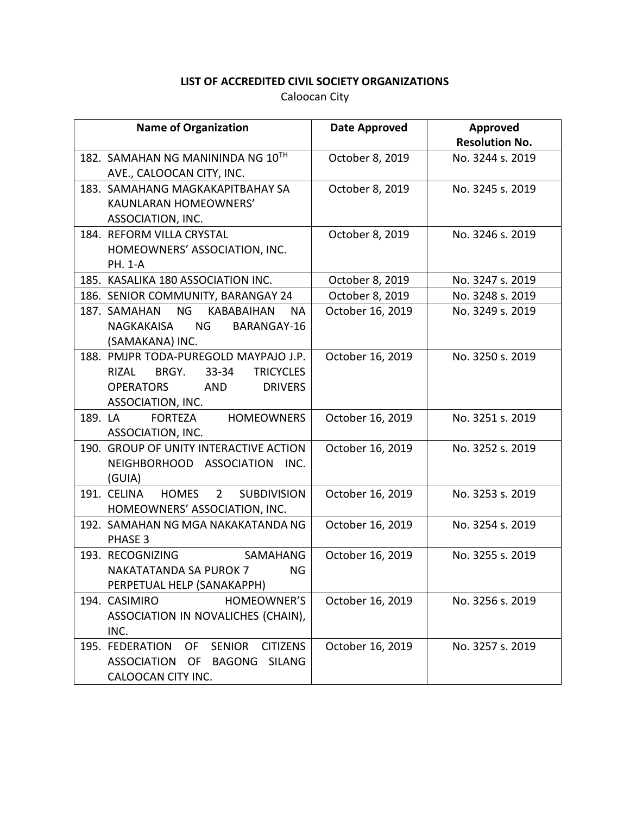| <b>Name of Organization</b>                                       | <b>Date Approved</b> | Approved              |
|-------------------------------------------------------------------|----------------------|-----------------------|
|                                                                   |                      | <b>Resolution No.</b> |
| 182. SAMAHAN NG MANININDA NG 10TH                                 | October 8, 2019      | No. 3244 s. 2019      |
| AVE., CALOOCAN CITY, INC.                                         |                      |                       |
| 183. SAMAHANG MAGKAKAPITBAHAY SA                                  | October 8, 2019      | No. 3245 s. 2019      |
| <b>KAUNLARAN HOMEOWNERS'</b>                                      |                      |                       |
| ASSOCIATION, INC.                                                 |                      |                       |
| 184. REFORM VILLA CRYSTAL                                         | October 8, 2019      | No. 3246 s. 2019      |
| HOMEOWNERS' ASSOCIATION, INC.                                     |                      |                       |
| <b>PH. 1-A</b>                                                    |                      |                       |
| 185. KASALIKA 180 ASSOCIATION INC.                                | October 8, 2019      | No. 3247 s. 2019      |
| 186. SENIOR COMMUNITY, BARANGAY 24                                | October 8, 2019      | No. 3248 s. 2019      |
| <b>NG</b><br>187. SAMAHAN<br>KABABAIHAN<br><b>NA</b>              | October 16, 2019     | No. 3249 s. 2019      |
| NG N<br>BARANGAY-16<br>NAGKAKAISA                                 |                      |                       |
| (SAMAKANA) INC.                                                   |                      |                       |
| 188. PMJPR TODA-PUREGOLD MAYPAJO J.P.                             | October 16, 2019     | No. 3250 s. 2019      |
| <b>TRICYCLES</b><br>BRGY. 33-34<br>RIZAL                          |                      |                       |
| <b>OPERATORS</b><br>AND<br><b>DRIVERS</b>                         |                      |                       |
| ASSOCIATION, INC.                                                 |                      |                       |
| 189. LA<br>FORTEZA<br><b>HOMEOWNERS</b>                           | October 16, 2019     | No. 3251 s. 2019      |
| ASSOCIATION, INC.                                                 |                      |                       |
| 190. GROUP OF UNITY INTERACTIVE ACTION                            | October 16, 2019     | No. 3252 s. 2019      |
| NEIGHBORHOOD ASSOCIATION<br>INC.<br>(GUIA)                        |                      |                       |
| 191. CELINA<br>HOMES <sub>2</sub><br><b>SUBDIVISION</b>           | October 16, 2019     | No. 3253 s. 2019      |
| HOMEOWNERS' ASSOCIATION, INC.                                     |                      |                       |
| 192. SAMAHAN NG MGA NAKAKATANDA NG                                | October 16, 2019     | No. 3254 s. 2019      |
| PHASE 3                                                           |                      |                       |
| <b>SAMAHANG</b><br>193. RECOGNIZING                               | October 16, 2019     | No. 3255 s. 2019      |
| <b>NAKATATANDA SA PUROK 7</b><br><b>NG</b>                        |                      |                       |
| PERPETUAL HELP (SANAKAPPH)                                        |                      |                       |
| 194. CASIMIRO<br>HOMEOWNER'S                                      | October 16, 2019     | No. 3256 s. 2019      |
| ASSOCIATION IN NOVALICHES (CHAIN),                                |                      |                       |
| INC.                                                              |                      |                       |
| 195. FEDERATION<br><b>OF</b><br><b>SENIOR</b><br><b>CITIZENS</b>  | October 16, 2019     | No. 3257 s. 2019      |
| <b>OF</b><br><b>BAGONG</b><br><b>SILANG</b><br><b>ASSOCIATION</b> |                      |                       |
| CALOOCAN CITY INC.                                                |                      |                       |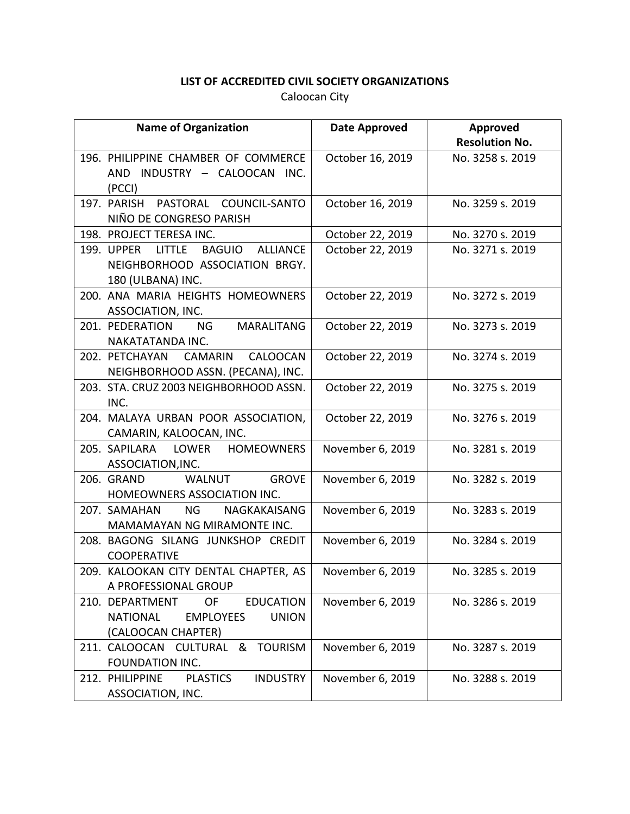| <b>Name of Organization</b>                                      | Date Approved    | Approved              |
|------------------------------------------------------------------|------------------|-----------------------|
|                                                                  |                  | <b>Resolution No.</b> |
| 196. PHILIPPINE CHAMBER OF COMMERCE                              | October 16, 2019 | No. 3258 s. 2019      |
| AND INDUSTRY - CALOOCAN INC.                                     |                  |                       |
| (PCCI)                                                           |                  |                       |
| 197. PARISH<br>PASTORAL COUNCIL-SANTO<br>NIÑO DE CONGRESO PARISH | October 16, 2019 | No. 3259 s. 2019      |
| 198. PROJECT TERESA INC.                                         | October 22, 2019 | No. 3270 s. 2019      |
| 199. UPPER LITTLE<br><b>BAGUIO</b><br><b>ALLIANCE</b>            | October 22, 2019 | No. 3271 s. 2019      |
| NEIGHBORHOOD ASSOCIATION BRGY.                                   |                  |                       |
| 180 (ULBANA) INC.                                                |                  |                       |
| 200. ANA MARIA HEIGHTS HOMEOWNERS                                | October 22, 2019 | No. 3272 s. 2019      |
| ASSOCIATION, INC.                                                |                  |                       |
| 201. PEDERATION<br>NG N<br><b>MARALITANG</b>                     | October 22, 2019 | No. 3273 s. 2019      |
| NAKATATANDA INC.                                                 |                  |                       |
| 202. PETCHAYAN<br>CAMARIN<br>CALOOCAN                            | October 22, 2019 | No. 3274 s. 2019      |
| NEIGHBORHOOD ASSN. (PECANA), INC.                                |                  |                       |
| 203. STA. CRUZ 2003 NEIGHBORHOOD ASSN.                           | October 22, 2019 | No. 3275 s. 2019      |
| INC.                                                             |                  |                       |
| 204. MALAYA URBAN POOR ASSOCIATION,                              | October 22, 2019 | No. 3276 s. 2019      |
| CAMARIN, KALOOCAN, INC.                                          |                  |                       |
| 205. SAPILARA LOWER HOMEOWNERS                                   | November 6, 2019 | No. 3281 s. 2019      |
| ASSOCIATION, INC.                                                |                  |                       |
| <b>GROVE</b><br>206. GRAND<br>WALNUT                             | November 6, 2019 | No. 3282 s. 2019      |
| HOMEOWNERS ASSOCIATION INC.                                      |                  |                       |
| NG N<br>NAGKAKAISANG<br>207. SAMAHAN                             | November 6, 2019 | No. 3283 s. 2019      |
| MAMAMAYAN NG MIRAMONTE INC.                                      |                  |                       |
| 208. BAGONG SILANG JUNKSHOP CREDIT                               | November 6, 2019 | No. 3284 s. 2019      |
| <b>COOPERATIVE</b>                                               |                  |                       |
| 209. KALOOKAN CITY DENTAL CHAPTER, AS                            | November 6, 2019 | No. 3285 s. 2019      |
| A PROFESSIONAL GROUP                                             |                  |                       |
| 210. DEPARTMENT<br>OF<br><b>EDUCATION</b>                        | November 6, 2019 | No. 3286 s. 2019      |
| <b>NATIONAL</b><br><b>EMPLOYEES</b><br><b>UNION</b>              |                  |                       |
| (CALOOCAN CHAPTER)                                               |                  |                       |
| 211. CALOOCAN CULTURAL<br><b>TOURISM</b><br>&                    | November 6, 2019 | No. 3287 s. 2019      |
| FOUNDATION INC.                                                  |                  |                       |
| <b>PLASTICS</b><br><b>INDUSTRY</b><br>212. PHILIPPINE            | November 6, 2019 | No. 3288 s. 2019      |
| ASSOCIATION, INC.                                                |                  |                       |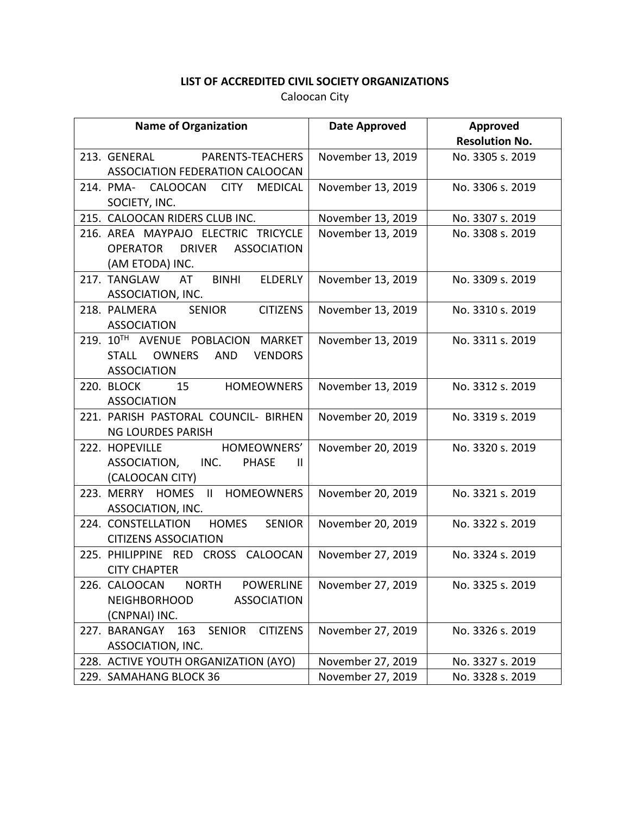| <b>Name of Organization</b>                              | Date Approved     | Approved              |
|----------------------------------------------------------|-------------------|-----------------------|
|                                                          |                   | <b>Resolution No.</b> |
| 213. GENERAL PARENTS-TEACHERS                            | November 13, 2019 | No. 3305 s. 2019      |
| ASSOCIATION FEDERATION CALOOCAN                          |                   |                       |
| 214. PMA- CALOOCAN CITY<br><b>MEDICAL</b>                | November 13, 2019 | No. 3306 s. 2019      |
| SOCIETY, INC.                                            |                   |                       |
| 215. CALOOCAN RIDERS CLUB INC.                           | November 13, 2019 | No. 3307 s. 2019      |
| 216. AREA MAYPAJO ELECTRIC TRICYCLE                      | November 13, 2019 | No. 3308 s. 2019      |
| OPERATOR DRIVER ASSOCIATION                              |                   |                       |
| (AM ETODA) INC.                                          |                   |                       |
| <b>ELDERLY</b><br>217. TANGLAW AT BINHI                  | November 13, 2019 | No. 3309 s. 2019      |
| ASSOCIATION, INC.                                        |                   |                       |
| 218. PALMERA SENIOR CITIZENS                             | November 13, 2019 | No. 3310 s. 2019      |
| <b>ASSOCIATION</b>                                       |                   |                       |
| 219. 10TH AVENUE POBLACION MARKET                        | November 13, 2019 | No. 3311 s. 2019      |
| STALL OWNERS<br><b>VENDORS</b><br>AND                    |                   |                       |
| <b>ASSOCIATION</b>                                       |                   |                       |
| 220. BLOCK 15 HOMEOWNERS                                 | November 13, 2019 | No. 3312 s. 2019      |
| <b>ASSOCIATION</b>                                       |                   |                       |
| 221. PARISH PASTORAL COUNCIL- BIRHEN                     | November 20, 2019 | No. 3319 s. 2019      |
| <b>NG LOURDES PARISH</b><br>222. HOPEVILLE HOMEOWNERS'   |                   | No. 3320 s. 2019      |
| ASSOCIATION, INC.<br><b>PHASE</b><br>$\mathbf{H}$        | November 20, 2019 |                       |
| (CALOOCAN CITY)                                          |                   |                       |
| 223. MERRY HOMES II HOMEOWNERS                           | November 20, 2019 | No. 3321 s. 2019      |
| ASSOCIATION, INC.                                        |                   |                       |
| 224. CONSTELLATION HOMES<br><b>SENIOR</b>                | November 20, 2019 | No. 3322 s. 2019      |
| <b>CITIZENS ASSOCIATION</b>                              |                   |                       |
| 225. PHILIPPINE RED CROSS CALOOCAN                       | November 27, 2019 | No. 3324 s. 2019      |
| <b>CITY CHAPTER</b>                                      |                   |                       |
| 226. CALOOCAN<br><b>NORTH</b><br><b>POWERLINE</b>        | November 27, 2019 | No. 3325 s. 2019      |
| <b>NEIGHBORHOOD</b><br><b>ASSOCIATION</b>                |                   |                       |
| (CNPNAI) INC.                                            |                   |                       |
| 227. BARANGAY<br><b>CITIZENS</b><br>163<br><b>SENIOR</b> | November 27, 2019 | No. 3326 s. 2019      |
| ASSOCIATION, INC.                                        |                   |                       |
| 228. ACTIVE YOUTH ORGANIZATION (AYO)                     | November 27, 2019 | No. 3327 s. 2019      |
| 229. SAMAHANG BLOCK 36                                   | November 27, 2019 | No. 3328 s. 2019      |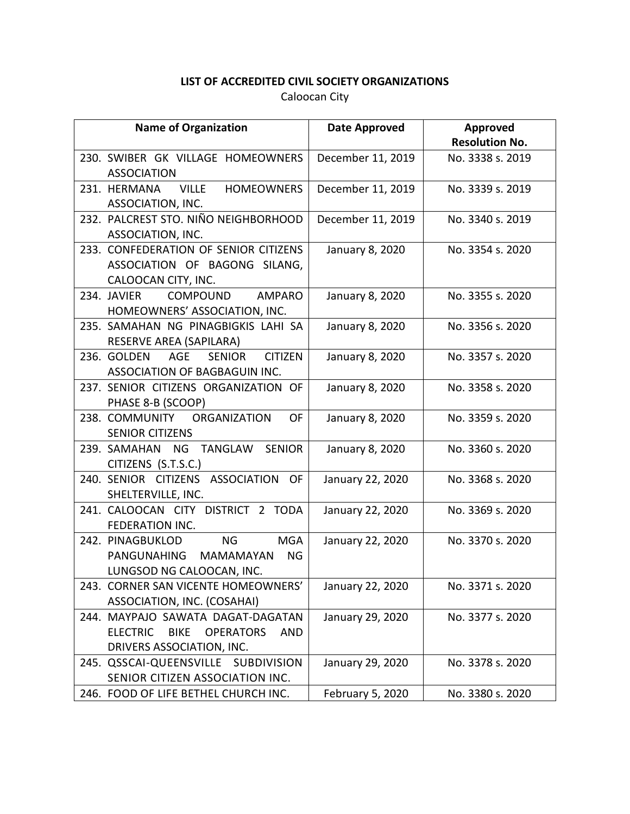| <b>Name of Organization</b>                                                                                                        | <b>Date Approved</b> | Approved              |
|------------------------------------------------------------------------------------------------------------------------------------|----------------------|-----------------------|
|                                                                                                                                    |                      | <b>Resolution No.</b> |
| 230. SWIBER GK VILLAGE HOMEOWNERS<br><b>ASSOCIATION</b>                                                                            | December 11, 2019    | No. 3338 s. 2019      |
| VILLE HOMEOWNERS<br>231. HERMANA<br>ASSOCIATION, INC.                                                                              | December 11, 2019    | No. 3339 s. 2019      |
| 232. PALCREST STO. NIÑO NEIGHBORHOOD<br>ASSOCIATION, INC.                                                                          | December 11, 2019    | No. 3340 s. 2019      |
| 233. CONFEDERATION OF SENIOR CITIZENS<br>ASSOCIATION OF BAGONG SILANG,<br>CALOOCAN CITY, INC.                                      | January 8, 2020      | No. 3354 s. 2020      |
| COMPOUND AMPARO<br>234. JAVIER<br>HOMEOWNERS' ASSOCIATION, INC.                                                                    | January 8, 2020      | No. 3355 s. 2020      |
| 235. SAMAHAN NG PINAGBIGKIS LAHI SA<br>RESERVE AREA (SAPILARA)                                                                     | January 8, 2020      | No. 3356 s. 2020      |
| 236. GOLDEN<br>AGE<br><b>SENIOR</b><br><b>CITIZEN</b><br>ASSOCIATION OF BAGBAGUIN INC.                                             | January 8, 2020      | No. 3357 s. 2020      |
| 237. SENIOR CITIZENS ORGANIZATION OF<br>PHASE 8-B (SCOOP)                                                                          | January 8, 2020      | No. 3358 s. 2020      |
| 238. COMMUNITY ORGANIZATION<br><b>OF</b><br><b>SENIOR CITIZENS</b>                                                                 | January 8, 2020      | No. 3359 s. 2020      |
| 239. SAMAHAN NG TANGLAW<br><b>SENIOR</b><br>CITIZENS (S.T.S.C.)                                                                    | January 8, 2020      | No. 3360 s. 2020      |
| 240. SENIOR CITIZENS ASSOCIATION OF<br>SHELTERVILLE, INC.                                                                          | January 22, 2020     | No. 3368 s. 2020      |
| 241. CALOOCAN CITY DISTRICT 2 TODA<br><b>FEDERATION INC.</b>                                                                       | January 22, 2020     | No. 3369 s. 2020      |
| <b>MGA</b><br>242. PINAGBUKLOD<br>NG<br><b>NG</b><br>PANGUNAHING MAMAMAYAN<br>LUNGSOD NG CALOOCAN, INC.                            | January 22, 2020     | No. 3370 s. 2020      |
| 243. CORNER SAN VICENTE HOMEOWNERS'<br>ASSOCIATION, INC. (COSAHAI)                                                                 | January 22, 2020     | No. 3371 s. 2020      |
| 244. MAYPAJO SAWATA DAGAT-DAGATAN<br><b>ELECTRIC</b><br><b>BIKE</b><br><b>OPERATORS</b><br><b>AND</b><br>DRIVERS ASSOCIATION, INC. | January 29, 2020     | No. 3377 s. 2020      |
| 245. QSSCAI-QUEENSVILLE SUBDIVISION<br>SENIOR CITIZEN ASSOCIATION INC.                                                             | January 29, 2020     | No. 3378 s. 2020      |
| 246. FOOD OF LIFE BETHEL CHURCH INC.                                                                                               | February 5, 2020     | No. 3380 s. 2020      |